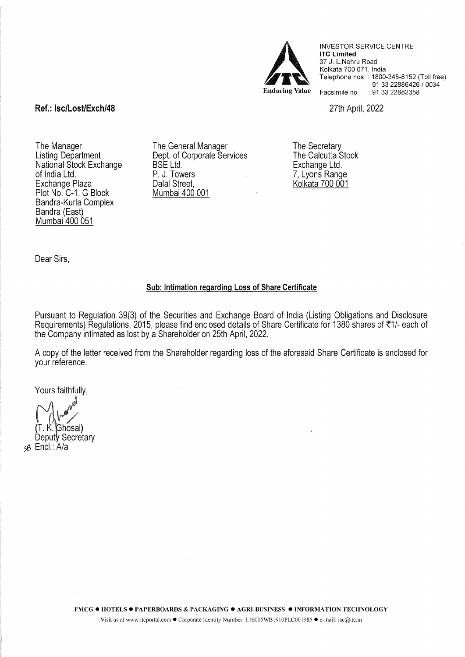

INVESTOR SERVICE CENTRE lTC Limited 37 J. L.Nehru Road Kolkata 700 071, India Telephone nos.: 1800-345-8152 (Toll free) 91 33 22886426 / 0034 Facsimile no. : 91 33 22882358

27th April, 2022

Ref.: lsc/Lost/Exch/48

The Manager Listing Department National Stock Exchange of India Ltd. Exchange Plaza Plot No. C-1, G Block Bandra-Kurla Complex Bandra (East) Mumbai 400 051

The General Manager Dept. of Corporate Services BSE Ltd. P. J. Towers Dalal Street, Mumbai 400 001

The Secretary The Calcutta Stock Exchange Ltd. 7, Lyons Range Kolkata 700 001

Dear Sirs,

## Sub: Intimation regarding Loss of Share Certificate

Pursuant to Regulation 39(3) of the Securities and Exchange Board of India (Listing Obligations and Disclosure Requirements) Regulations, 2015, please find enclosed details of Share Certificate for 1380 shares of ₹1/- each of the Company intimated as lost by a Shareholder on 25th April, 2022.

A copy of the letter received from the Shareholder regarding loss of the aforesaid Share Certificate is enclosed for your reference.

Yours faithfully,

 $(T. K$ . Ghosal)

Deputy Secretary )6 Encl.: A/a

FMCG · HOTELS · PAPERBOARDS & PACKAGING · AGRI-BUSINESS · INFORMATION TECHNOLOGY

Visit us at www.itcportal.com • Corporate Identity Number: L16005WB 1910PLCOOI985 • e-mail: isc@itc.in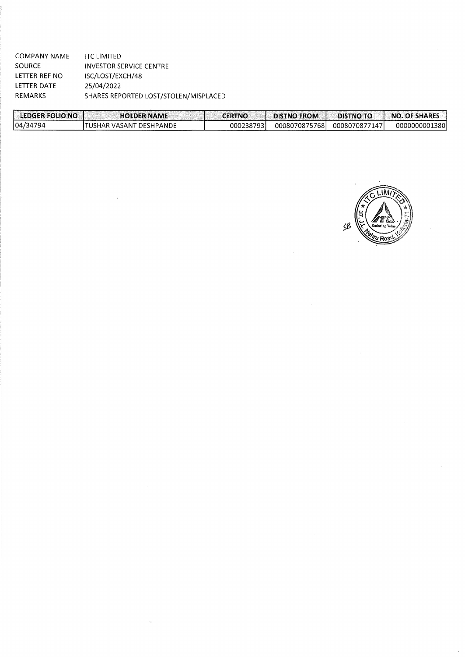COMPANY NAME SOURCE LETTER REF NO LETTER DATE REMARKS lTC LIMITED INVESTOR SERVICE CENTRE ISC/LOST /EXCH/48 25/04/2022 SHARES REPORTED LOST/STOLEN/MISPLACED

| LEDGER FOLIO NO | <b>HOLDER NAME</b>       | <b>CERTNO</b> | <b>DISTNO FROM</b> | <b>DISTNO TO</b> | NO. OF SHARES |
|-----------------|--------------------------|---------------|--------------------|------------------|---------------|
| 104/34794       | ITUSHAR VASANT DESHPANDE | 0002387931    | 00080708757681     | 0008070877147    | 0000000001380 |